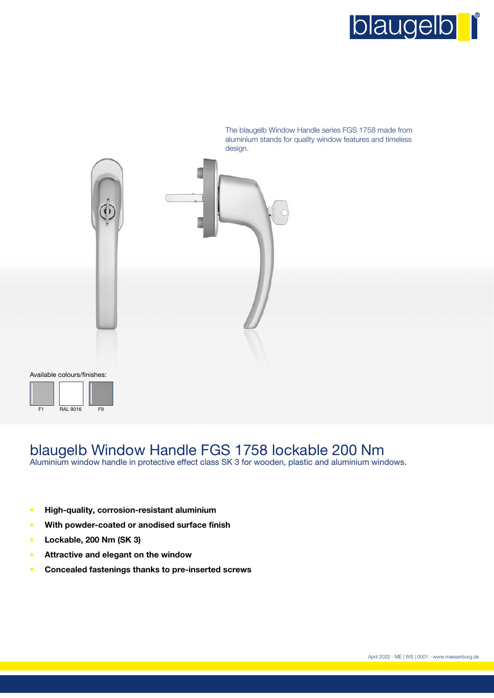



# blaugelb Window Handle FGS 1758 lockable 200 Nm

Aluminium window handle in protective effect class SK 3 for wooden, plastic and aluminium windows.

- **• High-quality, corrosion-resistant aluminium**
- **• With powder-coated or anodised surface finish**
- **• Lockable, 200 Nm (SK 3)**
- **• Attractive and elegant on the window**
- **• Concealed fastenings thanks to pre-inserted screws**